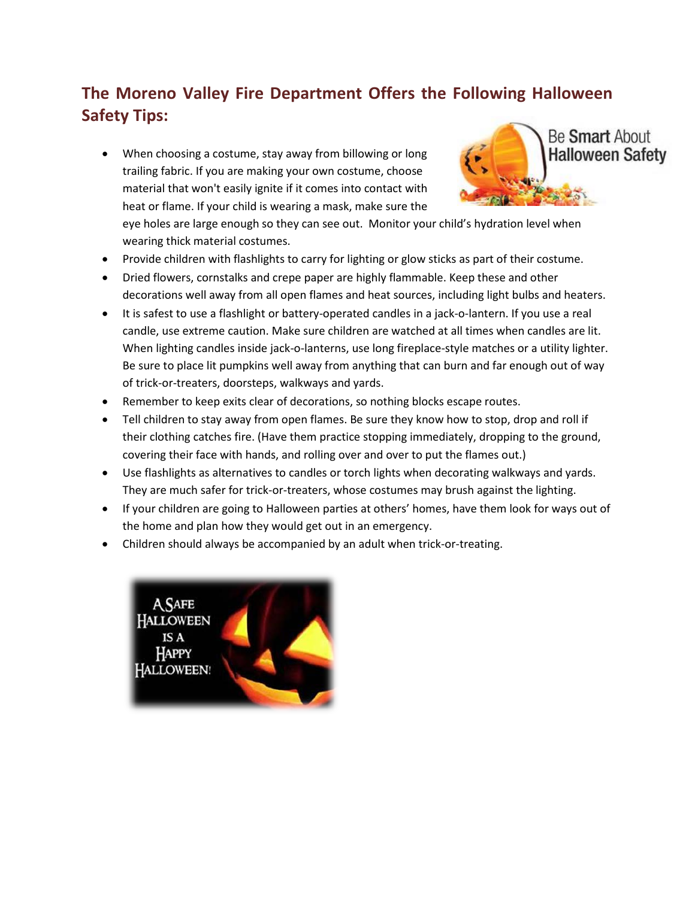## **The Moreno Valley Fire Department Offers the Following Halloween Safety Tips:**

• When choosing a costume, stay away from billowing or long trailing fabric. If you are making your own costume, choose material that won't easily ignite if it comes into contact with heat or flame. If your child is wearing a mask, make sure the



eye holes are large enough so they can see out. Monitor your child's hydration level when wearing thick material costumes.

- Provide children with flashlights to carry for lighting or glow sticks as part of their costume.
- Dried flowers, cornstalks and crepe paper are highly flammable. Keep these and other decorations well away from all open flames and heat sources, including light bulbs and heaters.
- It is safest to use a flashlight or battery-operated candles in a jack-o-lantern. If you use a real candle, use extreme caution. Make sure children are watched at all times when candles are lit. When lighting candles inside jack-o-lanterns, use long fireplace-style matches or a utility lighter. Be sure to place lit pumpkins well away from anything that can burn and far enough out of way of trick-or-treaters, doorsteps, walkways and yards.
- Remember to keep exits clear of decorations, so nothing blocks escape routes.
- Tell children to stay away from open flames. Be sure they know how to stop, drop and roll if their clothing catches fire. (Have them practice stopping immediately, dropping to the ground, covering their face with hands, and rolling over and over to put the flames out.)
- Use flashlights as alternatives to candles or torch lights when decorating walkways and yards. They are much safer for trick-or-treaters, whose costumes may brush against the lighting.
- If your children are going to Halloween parties at others' homes, have them look for ways out of the home and plan how they would get out in an emergency.
- Children should always be accompanied by an adult when trick-or-treating.